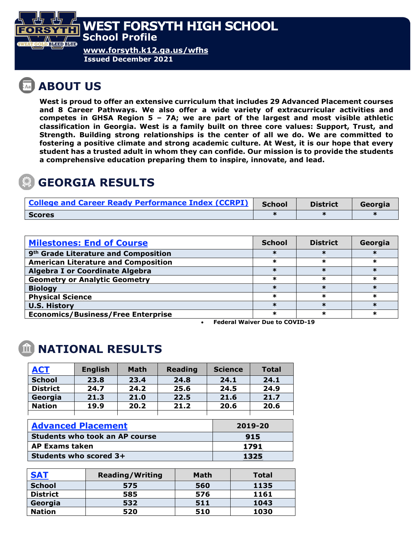

**Issued December 2021**

## **ABOUT US**

**West is proud to offer an extensive curriculum that includes 29 Advanced Placement courses and 8 Career Pathways. We also offer a wide variety of extracurricular activities and competes in GHSA Region 5 – 7A; we are part of the largest and most visible athletic classification in Georgia. West is a family built on three core values: Support, Trust, and Strength. Building strong relationships is the center of all we do. We are committed to fostering a positive climate and strong academic culture. At West, it is our hope that every student has a trusted adult in whom they can confide. Our mission is to provide the students a comprehensive education preparing them to inspire, innovate, and lead.** 

### **GEORGIA RESULTS**

| <b>College and Career Ready Performance Index (CCRPI)</b> | <b>School</b> | <b>District</b> | Georgia |
|-----------------------------------------------------------|---------------|-----------------|---------|
| <b>Scores</b>                                             |               |                 |         |

| <b>Milestones: End of Course</b>                 | <b>School</b> | <b>District</b> | Georgia |
|--------------------------------------------------|---------------|-----------------|---------|
| 9 <sup>th</sup> Grade Literature and Composition |               |                 |         |
| <b>American Literature and Composition</b>       | ж             | ж               | ж       |
| <b>Algebra I or Coordinate Algebra</b>           |               |                 |         |
| <b>Geometry or Analytic Geometry</b>             | ж             | ж               | ж       |
| <b>Biology</b>                                   |               |                 |         |
| <b>Physical Science</b>                          | ж             | ж               | ж       |
| <b>U.S. History</b>                              | ж             |                 |         |
| <b>Economics/Business/Free Enterprise</b>        | ж             |                 | ж       |

• **Federal Waiver Due to COVID-19**

### **NATIONAL RESULTS**

| <b>ACT</b>                            | <b>English</b> | <b>Math</b> | <b>Reading</b> | <b>Science</b> | <b>Total</b> |
|---------------------------------------|----------------|-------------|----------------|----------------|--------------|
| <b>School</b>                         | 23.8           | 23.4        | 24.8           | 24.1           | 24.1         |
| <b>District</b>                       | 24.7           | 24.2        | 25.6           | 24.5           | 24.9         |
| Georgia                               | 21.3           | 21.0        | 22.5           | 21.6           | 21.7         |
| <b>Nation</b>                         | 19.9           | 20.2        | 21.2           | 20.6           | 20.6         |
|                                       |                |             |                |                |              |
| <b>Advanced Placement</b>             |                |             |                | 2019-20        |              |
| <b>Students who took an AP course</b> |                |             |                | 915            |              |
| <b>AP Exams taken</b>                 |                |             |                | 1791           |              |
| Students who scored 3+                |                |             |                | 1325           |              |

| <b>SAT</b>      | <b>Reading/Writing</b> | Math | Total |
|-----------------|------------------------|------|-------|
| <b>School</b>   | 575                    | 560  | 1135  |
| <b>District</b> | 585                    | 576  | 1161  |
| Georgia         | 532                    | 511  | 1043  |
| <b>Nation</b>   | 520                    | 510  | 1030  |